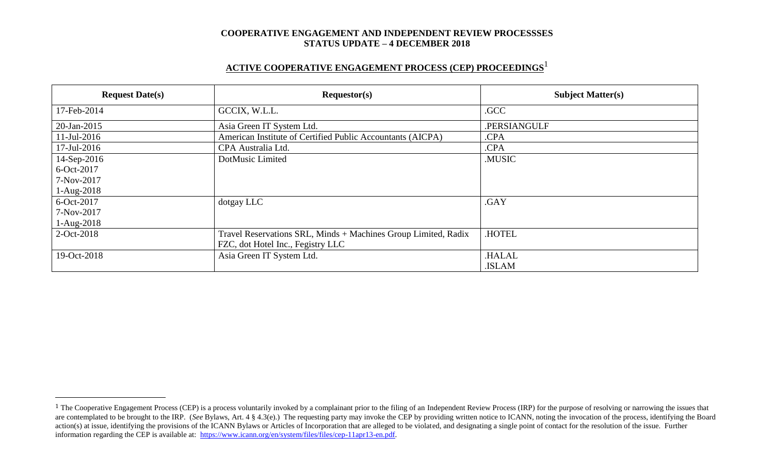# **ACTIVE COOPERATIVE ENGAGEMENT PROCESS (CEP) PROCEEDINGS** 1

| <b>Request Date(s)</b> | Requestor(s)                                                   | <b>Subject Matter(s)</b> |  |
|------------------------|----------------------------------------------------------------|--------------------------|--|
| 17-Feb-2014            | GCCIX, W.L.L.                                                  | .GCC                     |  |
| 20-Jan-2015            | Asia Green IT System Ltd.                                      | .PERSIANGULF             |  |
| $11$ -Jul-2016         | American Institute of Certified Public Accountants (AICPA)     | .CPA                     |  |
| 17-Jul-2016            | CPA Australia Ltd.                                             | .CPA                     |  |
| 14-Sep-2016            | DotMusic Limited                                               | .MUSIC                   |  |
| 6-Oct-2017             |                                                                |                          |  |
| 7-Nov-2017             |                                                                |                          |  |
| $1-Aug-2018$           |                                                                |                          |  |
| 6-Oct-2017             | dotgay LLC                                                     | .GAY                     |  |
| 7-Nov-2017             |                                                                |                          |  |
| $1-Aug-2018$           |                                                                |                          |  |
| 2-Oct-2018             | Travel Reservations SRL, Minds + Machines Group Limited, Radix | .HOTEL                   |  |
|                        | FZC, dot Hotel Inc., Fegistry LLC                              |                          |  |
| 19-Oct-2018            | Asia Green IT System Ltd.                                      | <b>.HALAL</b>            |  |
|                        |                                                                | .ISLAM                   |  |

 $\overline{a}$ 

<sup>&</sup>lt;sup>1</sup> The Cooperative Engagement Process (CEP) is a process voluntarily invoked by a complainant prior to the filing of an Independent Review Process (IRP) for the purpose of resolving or narrowing the issues that are contemplated to be brought to the IRP. (*See* Bylaws, Art. 4 § 4.3(e).) The requesting party may invoke the CEP by providing written notice to ICANN, noting the invocation of the process, identifying the Board action(s) at issue, identifying the provisions of the ICANN Bylaws or Articles of Incorporation that are alleged to be violated, and designating a single point of contact for the resolution of the issue. Further information regarding the CEP is available at: [https://www.icann.org/en/system/files/files/cep-11apr13-en.pdf.](https://www.icann.org/en/system/files/files/cep-11apr13-en.pdf)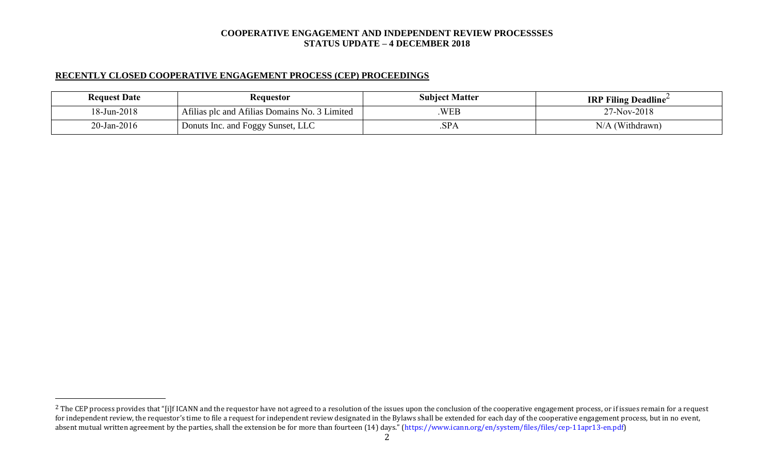# **RECENTLY CLOSED COOPERATIVE ENGAGEMENT PROCESS (CEP) PROCEEDINGS**

 $\overline{a}$ 

| <b>Request Date</b> | <b>Requestor</b>                              | <b>Subject Matter</b> | <b>IRP Filing Deadline</b> |
|---------------------|-----------------------------------------------|-----------------------|----------------------------|
| 18-Jun-2018         | Afilias plc and Afilias Domains No. 3 Limited | WEB                   | 27-Nov-2018                |
| $20$ -Jan-2016      | Donuts Inc. and Foggy Sunset, LLC             | .SPA                  | $N/A$ (Withdrawn)          |

<sup>&</sup>lt;sup>2</sup> The CEP process provides that "[i]f ICANN and the requestor have not agreed to a resolution of the issues upon the conclusion of the cooperative engagement process, or if issues remain for a request for independent review, the requestor's time to file a request for independent review designated in the Bylaws shall be extended for each day of the cooperative engagement process, but in no event, absent mutual written agreement by the parties, shall the extension be for more than fourteen (14) days." (https://www.icann.org/en/system/files/files/cep-11apr13-en.pdf)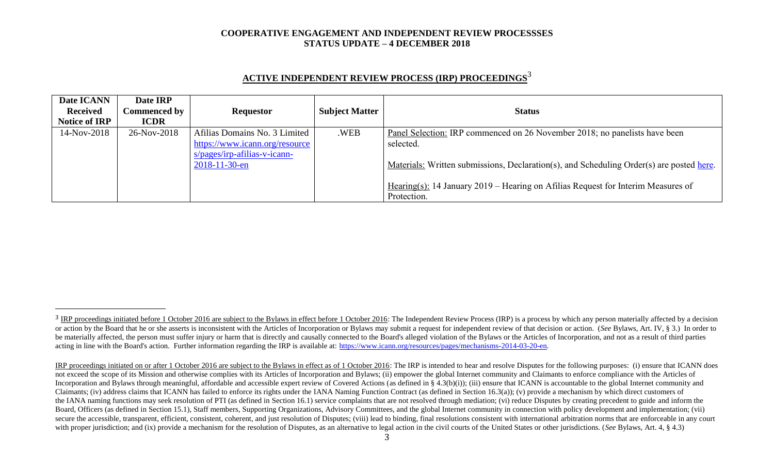| ACTIVE INDEPENDENT REVIEW PROCESS (IRP) PROCEEDINGS <sup>3</sup> |  |  |
|------------------------------------------------------------------|--|--|
|                                                                  |  |  |

| Date ICANN           | Date IRP     |                                 |                       |                                                                                          |
|----------------------|--------------|---------------------------------|-----------------------|------------------------------------------------------------------------------------------|
| <b>Received</b>      | Commenced by | <b>Requestor</b>                | <b>Subject Matter</b> | <b>Status</b>                                                                            |
| <b>Notice of IRP</b> | <b>ICDR</b>  |                                 |                       |                                                                                          |
| 14-Nov-2018          | 26-Nov-2018  | Afilias Domains No. 3 Limited   | .WEB                  | Panel Selection: IRP commenced on 26 November 2018; no panelists have been               |
|                      |              | https://www.icann.org/resource  |                       | selected.                                                                                |
|                      |              | $s$ /pages/irp-afilias-v-icann- |                       |                                                                                          |
|                      |              | $2018 - 11 - 30 - en$           |                       | Materials: Written submissions, Declaration(s), and Scheduling Order(s) are posted here. |
|                      |              |                                 |                       |                                                                                          |
|                      |              |                                 |                       | Hearing(s): 14 January 2019 – Hearing on Afilias Request for Interim Measures of         |
|                      |              |                                 |                       | Protection.                                                                              |

l

<sup>&</sup>lt;sup>3</sup> IRP proceedings initiated before 1 October 2016 are subject to the Bylaws in effect before 1 October 2016: The Independent Review Process (IRP) is a process by which any person materially affected by a decision or action by the Board that he or she asserts is inconsistent with the Articles of Incorporation or Bylaws may submit a request for independent review of that decision or action. (See Bylaws, Art. IV, § 3.) In order to be materially affected, the person must suffer injury or harm that is directly and causally connected to the Board's alleged violation of the Bylaws or the Articles of Incorporation, and not as a result of third parties acting in line with the Board's action. Further information regarding the IRP is available at: [https://www.icann.org/resources/pages/mechanisms-2014-03-20-en.](https://www.icann.org/resources/pages/mechanisms-2014-03-20-en)

IRP proceedings initiated on or after 1 October 2016 are subject to the Bylaws in effect as of 1 October 2016: The IRP is intended to hear and resolve Disputes for the following purposes: (i) ensure that ICANN does not exceed the scope of its Mission and otherwise complies with its Articles of Incorporation and Bylaws; (ii) empower the global Internet community and Claimants to enforce compliance with the Articles of Incorporation and Bylaws through meaningful, affordable and accessible expert review of Covered Actions (as defined in § 4.3(b)(i)); (iii) ensure that ICANN is accountable to the global Internet community and Claimants; (iv) address claims that ICANN has failed to enforce its rights under the IANA Naming Function Contract (as defined in Section 16.3(a)); (v) provide a mechanism by which direct customers of the IANA naming functions may seek resolution of PTI (as defined in Section 16.1) service complaints that are not resolved through mediation; (vi) reduce Disputes by creating precedent to guide and inform the Board, Officers (as defined in Section 15.1), Staff members, Supporting Organizations, Advisory Committees, and the global Internet community in connection with policy development and implementation; (vii) secure the accessible, transparent, efficient, consistent, coherent, and just resolution of Disputes; (viii) lead to binding, final resolutions consistent with international arbitration norms that are enforceable in any co with proper jurisdiction; and (ix) provide a mechanism for the resolution of Disputes, as an alternative to legal action in the civil courts of the United States or other jurisdictions. (*See* Bylaws, Art. 4, § 4.3)